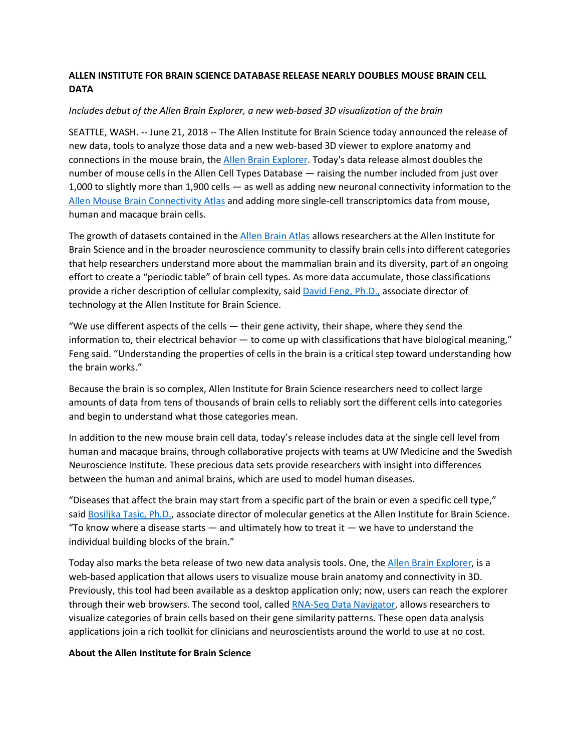## **ALLEN INSTITUTE FOR BRAIN SCIENCE DATABASE RELEASE NEARLY DOUBLES MOUSE BRAIN CELL DATA**

## *Includes debut of the Allen Brain Explorer, a new web-based 3D visualization of the brain*

SEATTLE, WASH. -- June 21, 2018 -- The Allen Institute for Brain Science today announced the release of new data, tools to analyze those data and a new web-based 3D viewer to explore anatomy and connections in the mouse brain, the Allen Brain Explorer. Today's data release almost doubles the number of mouse cells in the Allen Cell Types Database — raising the number included from just over 1,000 to slightly more than 1,900 cells — as well as adding new neuronal connectivity information to the Allen Mouse Brain Connectivity Atlas and adding more single-cell transcriptomics data from mouse, human and macaque brain cells.

The growth of datasets contained in the Allen Brain Atlas allows researchers at the Allen Institute for Brain Science and in the broader neuroscience community to classify brain cells into different categories that help researchers understand more about the mammalian brain and its diversity, part of an ongoing effort to create a "periodic table" of brain cell types. As more data accumulate, those classifications provide a richer description of cellular complexity, said David Feng, Ph.D., associate director of technology at the Allen Institute for Brain Science.

"We use different aspects of the cells  $-$  their gene activity, their shape, where they send the information to, their electrical behavior  $-$  to come up with classifications that have biological meaning," Feng said. "Understanding the properties of cells in the brain is a critical step toward understanding how the brain works."

Because the brain is so complex, Allen Institute for Brain Science researchers need to collect large amounts of data from tens of thousands of brain cells to reliably sort the different cells into categories and begin to understand what those categories mean.

In addition to the new mouse brain cell data, today's release includes data at the single cell level from human and macaque brains, through collaborative projects with teams at UW Medicine and the Swedish Neuroscience Institute. These precious data sets provide researchers with insight into differences between the human and animal brains, which are used to model human diseases.

"Diseases that affect the brain may start from a specific part of the brain or even a specific cell type," said Bosiljka Tasic, Ph.D., associate director of molecular genetics at the Allen Institute for Brain Science. "To know where a disease starts  $-$  and ultimately how to treat it  $-$  we have to understand the individual building blocks of the brain."

Today also marks the beta release of two new data analysis tools. One, the Allen Brain Explorer, is a web-based application that allows users to visualize mouse brain anatomy and connectivity in 3D. Previously, this tool had been available as a desktop application only; now, users can reach the explorer through their web browsers. The second tool, called RNA-Seq Data Navigator, allows researchers to visualize categories of brain cells based on their gene similarity patterns. These open data analysis applications join a rich toolkit for clinicians and neuroscientists around the world to use at no cost.

## **About the Allen Institute for Brain Science**